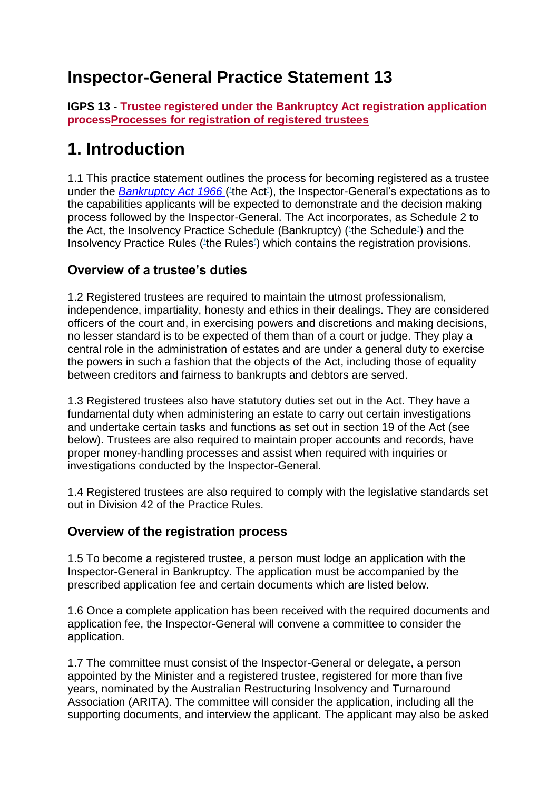## **Inspector-General Practice Statement 13**

**IGPS 13 - Trustee registered under the Bankruptcy Act registration application processProcesses for registration of registered trustees**

## **1. Introduction**

1.1 This practice statement outlines the process for becoming registered as a trustee under the *[Bankruptcy Act 1966](https://www.legislation.gov.au/Series/C1966A00033)* ('the Act'), the Inspector-General's expectations as to the capabilities applicants will be expected to demonstrate and the decision making process followed by the Inspector-General. The Act incorporates, as Schedule 2 to the Act, the Insolvency Practice Schedule (Bankruptcy) ('the Schedule') and the Insolvency Practice Rules ('the Rules') which contains the registration provisions.

### **Overview of a trustee's duties**

1.2 Registered trustees are required to maintain the utmost professionalism, independence, impartiality, honesty and ethics in their dealings. They are considered officers of the court and, in exercising powers and discretions and making decisions, no lesser standard is to be expected of them than of a court or judge. They play a central role in the administration of estates and are under a general duty to exercise the powers in such a fashion that the objects of the Act, including those of equality between creditors and fairness to bankrupts and debtors are served.

1.3 Registered trustees also have statutory duties set out in the Act. They have a fundamental duty when administering an estate to carry out certain investigations and undertake certain tasks and functions as set out in section 19 of the Act (see below). Trustees are also required to maintain proper accounts and records, have proper money-handling processes and assist when required with inquiries or investigations conducted by the Inspector-General.

1.4 Registered trustees are also required to comply with the legislative standards set out in Division 42 of the Practice Rules.

#### **Overview of the registration process**

1.5 To become a registered trustee, a person must lodge an application with the Inspector-General in Bankruptcy. The application must be accompanied by the prescribed application fee and certain documents which are listed below.

1.6 Once a complete application has been received with the required documents and application fee, the Inspector-General will convene a committee to consider the application.

1.7 The committee must consist of the Inspector-General or delegate, a person appointed by the Minister and a registered trustee, registered for more than five years, nominated by the Australian Restructuring Insolvency and Turnaround Association (ARITA). The committee will consider the application, including all the supporting documents, and interview the applicant. The applicant may also be asked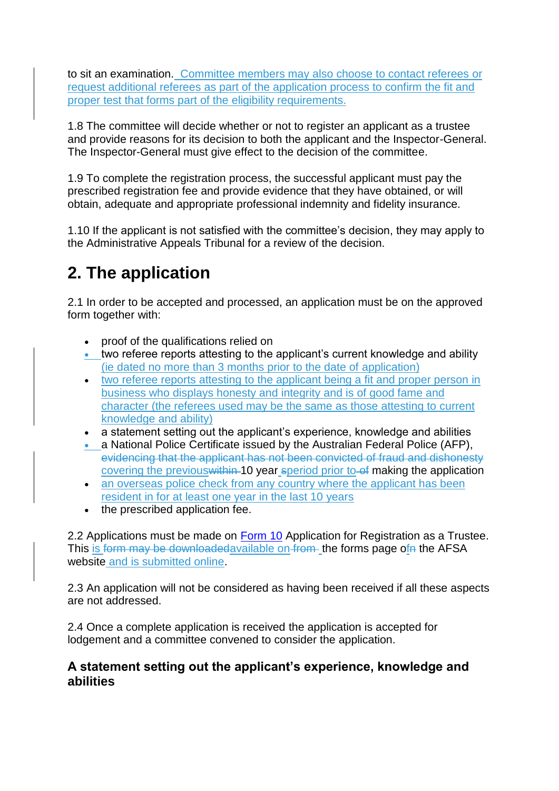to sit an examination. Committee members may also choose to contact referees or request additional referees as part of the application process to confirm the fit and proper test that forms part of the eligibility requirements.

1.8 The committee will decide whether or not to register an applicant as a trustee and provide reasons for its decision to both the applicant and the Inspector-General. The Inspector-General must give effect to the decision of the committee.

1.9 To complete the registration process, the successful applicant must pay the prescribed registration fee and provide evidence that they have obtained, or will obtain, adequate and appropriate professional indemnity and fidelity insurance.

1.10 If the applicant is not satisfied with the committee's decision, they may apply to the Administrative Appeals Tribunal for a review of the decision.

# **2. The application**

2.1 In order to be accepted and processed, an application must be on the approved form together with:

- proof of the qualifications relied on
- two referee reports attesting to the applicant's current knowledge and ability (ie dated no more than 3 months prior to the date of application)
- two referee reports attesting to the applicant being a fit and proper person in business who displays honesty and integrity and is of good fame and character (the referees used may be the same as those attesting to current knowledge and ability)
- a statement setting out the applicant's experience, knowledge and abilities
- a National Police Certificate issued by the Australian Federal Police (AFP), evidencing that the applicant has not been convicted of fraud and dishonesty covering the previous within 10 year speriod prior to of making the application
- an overseas police check from any country where the applicant has been resident in for at least one year in the last 10 years
- the prescribed application fee.

2.2 Applications must be made on [Form 10](/node/3111) Application for Registration as a Trustee. This is form may be downloaded available on from the forms page of the AFSA website and is submitted online.

2.3 An application will not be considered as having been received if all these aspects are not addressed.

2.4 Once a complete application is received the application is accepted for lodgement and a committee convened to consider the application.

#### **A statement setting out the applicant's experience, knowledge and abilities**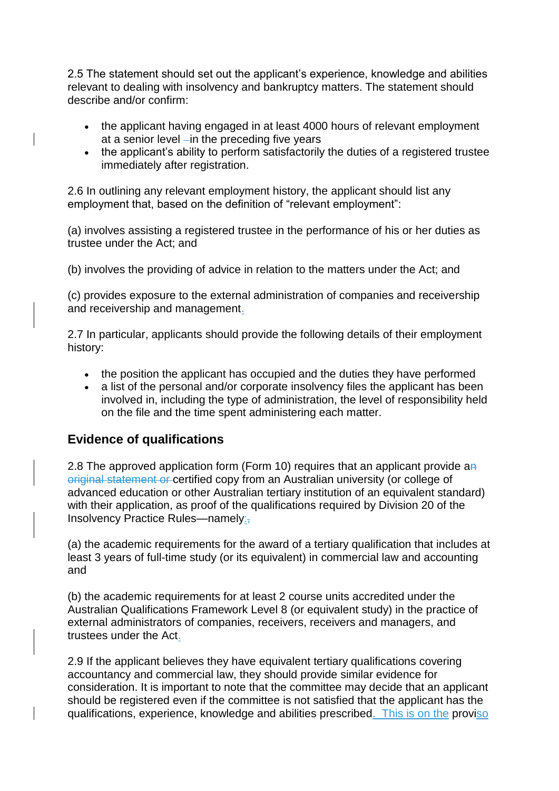2.5 The statement should set out the applicant's experience, knowledge and abilities relevant to dealing with insolvency and bankruptcy matters. The statement should describe and/or confirm:

- the applicant having engaged in at least 4000 hours of relevant employment at a senior level  $-$ in the preceding five years
- the applicant's ability to perform satisfactorily the duties of a registered trustee immediately after registration.

2.6 In outlining any relevant employment history, the applicant should list any employment that, based on the definition of "relevant employment":

(a) involves assisting a registered trustee in the performance of his or her duties as trustee under the Act; and

(b) involves the providing of advice in relation to the matters under the Act; and

(c) provides exposure to the external administration of companies and receivership and receivership and management.

2.7 In particular, applicants should provide the following details of their employment history:

- the position the applicant has occupied and the duties they have performed
- a list of the personal and/or corporate insolvency files the applicant has been involved in, including the type of administration, the level of responsibility held on the file and the time spent administering each matter.

### **Evidence of qualifications**

2.8 The approved application form (Form 10) requires that an applicant provide an original statement or certified copy from an Australian university (or college of advanced education or other Australian tertiary institution of an equivalent standard) with their application, as proof of the qualifications required by Division 20 of the Insolvency Practice Rules—namely:-

(a) the academic requirements for the award of a tertiary qualification that includes at least 3 years of full-time study (or its equivalent) in commercial law and accounting and

(b) the academic requirements for at least 2 course units accredited under the Australian Qualifications Framework Level 8 (or equivalent study) in the practice of external administrators of companies, receivers, receivers and managers, and trustees under the Act.

2.9 If the applicant believes they have equivalent tertiary qualifications covering accountancy and commercial law, they should provide similar evidence for consideration. It is important to note that the committee may decide that an applicant should be registered even if the committee is not satisfied that the applicant has the qualifications, experience, knowledge and abilities prescribed. This is on the proviso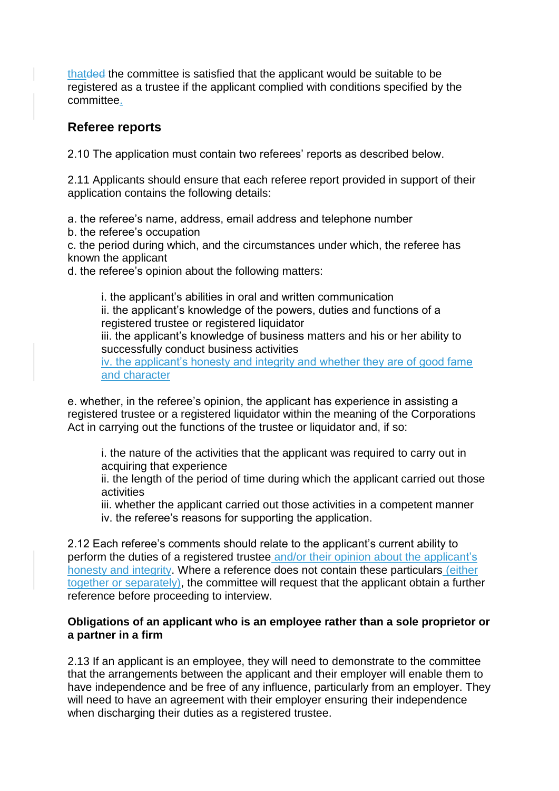thatded the committee is satisfied that the applicant would be suitable to be registered as a trustee if the applicant complied with conditions specified by the committee.

#### **Referee reports**

2.10 The application must contain two referees' reports as described below.

2.11 Applicants should ensure that each referee report provided in support of their application contains the following details:

a. the referee's name, address, email address and telephone number

b. the referee's occupation

c. the period during which, and the circumstances under which, the referee has known the applicant

d. the referee's opinion about the following matters:

i. the applicant's abilities in oral and written communication ii. the applicant's knowledge of the powers, duties and functions of a registered trustee or registered liquidator iii. the applicant's knowledge of business matters and his or her ability to successfully conduct business activities iv. the applicant's honesty and integrity and whether they are of good fame

and character

e. whether, in the referee's opinion, the applicant has experience in assisting a registered trustee or a registered liquidator within the meaning of the Corporations Act in carrying out the functions of the trustee or liquidator and, if so:

i. the nature of the activities that the applicant was required to carry out in acquiring that experience

ii. the length of the period of time during which the applicant carried out those activities

iii. whether the applicant carried out those activities in a competent manner iv. the referee's reasons for supporting the application.

2.12 Each referee's comments should relate to the applicant's current ability to perform the duties of a registered trustee and/or their opinion about the applicant's honesty and integrity. Where a reference does not contain these particulars (either together or separately), the committee will request that the applicant obtain a further reference before proceeding to interview.

#### **Obligations of an applicant who is an employee rather than a sole proprietor or a partner in a firm**

2.13 If an applicant is an employee, they will need to demonstrate to the committee that the arrangements between the applicant and their employer will enable them to have independence and be free of any influence, particularly from an employer. They will need to have an agreement with their employer ensuring their independence when discharging their duties as a registered trustee.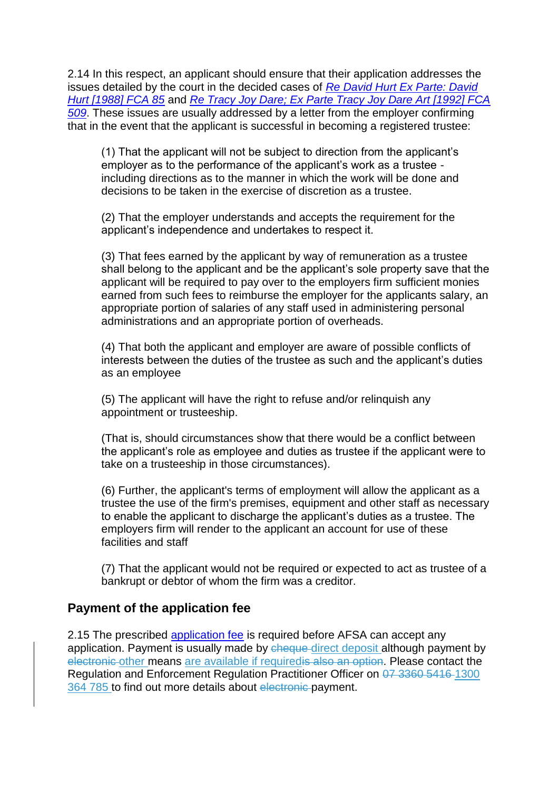2.14 In this respect, an applicant should ensure that their application addresses the issues detailed by the court in the decided cases of *[Re David Hurt Ex Parte: David](http://www.austlii.edu.au/cgi-bin/sinodisp/au/cases/cth/FCA/1988/85.html?stem=0&synonyms=0&query=ex%20parte%20hurt)  [Hurt \[1988\] FCA 85](http://www.austlii.edu.au/cgi-bin/sinodisp/au/cases/cth/FCA/1988/85.html?stem=0&synonyms=0&query=ex%20parte%20hurt)* and *[Re Tracy Joy Dare; Ex Parte Tracy Joy Dare Art \[1992\] FCA](http://www.austlii.edu.au/cgi-bin/sinodisp/au/cases/cth/FCA/1992/509.html?stem=0&synonyms=0&query=re%20dare)  [509](http://www.austlii.edu.au/cgi-bin/sinodisp/au/cases/cth/FCA/1992/509.html?stem=0&synonyms=0&query=re%20dare)*. These issues are usually addressed by a letter from the employer confirming that in the event that the applicant is successful in becoming a registered trustee:

(1) That the applicant will not be subject to direction from the applicant's employer as to the performance of the applicant's work as a trustee including directions as to the manner in which the work will be done and decisions to be taken in the exercise of discretion as a trustee.

(2) That the employer understands and accepts the requirement for the applicant's independence and undertakes to respect it.

(3) That fees earned by the applicant by way of remuneration as a trustee shall belong to the applicant and be the applicant's sole property save that the applicant will be required to pay over to the employers firm sufficient monies earned from such fees to reimburse the employer for the applicants salary, an appropriate portion of salaries of any staff used in administering personal administrations and an appropriate portion of overheads.

(4) That both the applicant and employer are aware of possible conflicts of interests between the duties of the trustee as such and the applicant's duties as an employee

(5) The applicant will have the right to refuse and/or relinquish any appointment or trusteeship.

(That is, should circumstances show that there would be a conflict between the applicant's role as employee and duties as trustee if the applicant were to take on a trusteeship in those circumstances).

(6) Further, the applicant's terms of employment will allow the applicant as a trustee the use of the firm's premises, equipment and other staff as necessary to enable the applicant to discharge the applicant's duties as a trustee. The employers firm will render to the applicant an account for use of these facilities and staff

(7) That the applicant would not be required or expected to act as trustee of a bankrupt or debtor of whom the firm was a creditor.

#### **Payment of the application fee**

2.15 The prescribed [application fee](/node/3421) is required before AFSA can accept any application. Payment is usually made by cheque direct deposit although payment by electronic other means are available if required is also an option. Please contact the Regulation and Enforcement Regulation Practitioner Officer on 07 3360 5416 1300 364 785 to find out more details about electronic payment.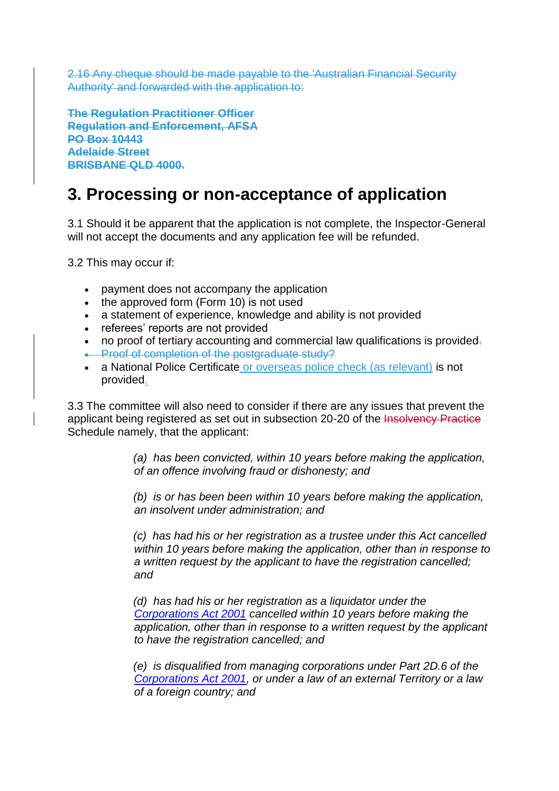2.16 Any cheque should be made payable to the 'Australian Financial Security Authority' and forwarded with the application to:

**The Regulation Practitioner Officer Regulation and Enforcement, AFSA PO Box 10443 Adelaide Street BRISBANE QLD 4000.**

## **3. Processing or non-acceptance of application**

3.1 Should it be apparent that the application is not complete, the Inspector-General will not accept the documents and any application fee will be refunded.

3.2 This may occur if:

- payment does not accompany the application
- the approved form (Form 10) is not used
- a statement of experience, knowledge and ability is not provided
- referees' reports are not provided
- no proof of tertiary accounting and commercial law qualifications is provided.
- **-** Proof of completion of the postgraduate study?
- a National Police Certificate or overseas police check (as relevant) is not provided.

3.3 The committee will also need to consider if there are any issues that prevent the applicant being registered as set out in subsection 20-20 of the Insolvency Practice Schedule namely, that the applicant:

> *(a) has been convicted, within 10 years before making the application, of an offence involving fraud or dishonesty; and*

> *(b) is or has been been within 10 years before making the application, an insolvent under administration; and*

 *(c) has had his or her registration as a trustee under this Act cancelled within 10 years before making the application, other than in response to a written request by the applicant to have the registration cancelled; and*

 *(d) has had his or her registration as a liquidator under the [Corporations Act 2001](https://www.legislation.gov.au/Details/C2016C00922) cancelled within 10 years before making the application, other than in response to a written request by the applicant to have the registration cancelled; and*

 *(e) is disqualified from managing corporations under Part 2D.6 of the [Corporations Act 2001,](https://www.legislation.gov.au/Details/C2016C00922) or under a law of an external Territory or a law of a foreign country; and*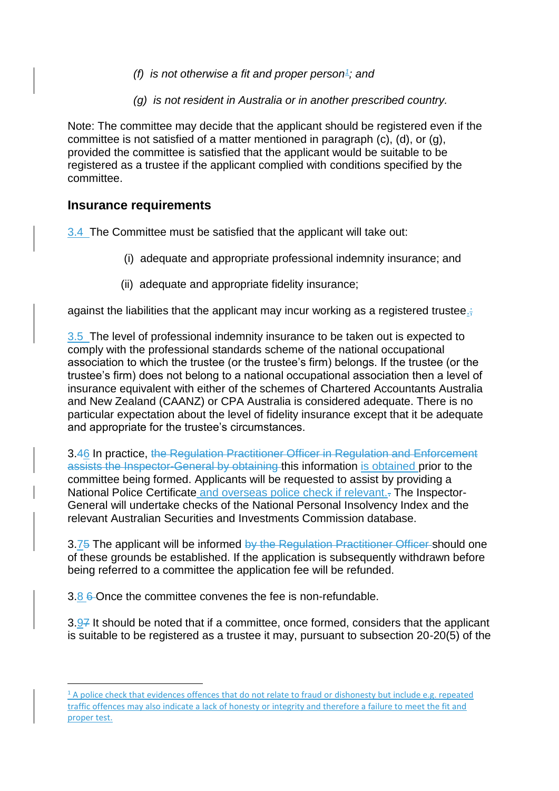- *(f) is not otherwise a fit and proper person<sup>1</sup> ; and*
	- *(g) is not resident in Australia or in another prescribed country.*

Note: The committee may decide that the applicant should be registered even if the committee is not satisfied of a matter mentioned in paragraph (c), (d), or (g), provided the committee is satisfied that the applicant would be suitable to be registered as a trustee if the applicant complied with conditions specified by the committee.

#### **Insurance requirements**

**.** 

3.4 The Committee must be satisfied that the applicant will take out:

- (i) adequate and appropriate professional indemnity insurance; and
- (ii) adequate and appropriate fidelity insurance;

against the liabilities that the applicant may incur working as a registered trustee.;

3.5 The level of professional indemnity insurance to be taken out is expected to comply with the professional standards scheme of the national occupational association to which the trustee (or the trustee's firm) belongs. If the trustee (or the trustee's firm) does not belong to a national occupational association then a level of insurance equivalent with either of the schemes of Chartered Accountants Australia and New Zealand (CAANZ) or CPA Australia is considered adequate. There is no particular expectation about the level of fidelity insurance except that it be adequate and appropriate for the trustee's circumstances.

3.46 In practice, the Regulation Practitioner Officer in Regulation and Enforcement assists the Inspector-General by obtaining this information is obtained prior to the committee being formed. Applicants will be requested to assist by providing a National Police Certificate and overseas police check if relevant.. The Inspector-General will undertake checks of the National Personal Insolvency Index and the relevant Australian Securities and Investments Commission database.

3.75 The applicant will be informed by the Regulation Practitioner Officer should one of these grounds be established. If the application is subsequently withdrawn before being referred to a committee the application fee will be refunded.

3.8 6 Once the committee convenes the fee is non-refundable.

3.97 It should be noted that if a committee, once formed, considers that the applicant is suitable to be registered as a trustee it may, pursuant to subsection 20-20(5) of the

 $1$  A police check that evidences offences that do not relate to fraud or dishonesty but include e.g. repeated traffic offences may also indicate a lack of honesty or integrity and therefore a failure to meet the fit and proper test.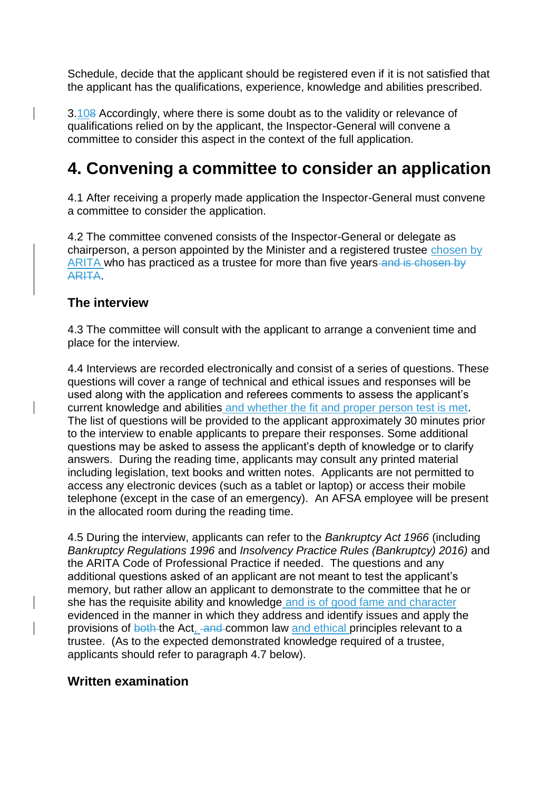Schedule, decide that the applicant should be registered even if it is not satisfied that the applicant has the qualifications, experience, knowledge and abilities prescribed.

3.108 Accordingly, where there is some doubt as to the validity or relevance of qualifications relied on by the applicant, the Inspector-General will convene a committee to consider this aspect in the context of the full application.

## **4. Convening a committee to consider an application**

4.1 After receiving a properly made application the Inspector-General must convene a committee to consider the application.

4.2 The committee convened consists of the Inspector-General or delegate as chairperson, a person appointed by the Minister and a registered trustee chosen by ARITA who has practiced as a trustee for more than five years and is chosen by ARITA.

#### **The interview**

4.3 The committee will consult with the applicant to arrange a convenient time and place for the interview.

4.4 Interviews are recorded electronically and consist of a series of questions. These questions will cover a range of technical and ethical issues and responses will be used along with the application and referees comments to assess the applicant's current knowledge and abilities and whether the fit and proper person test is met. The list of questions will be provided to the applicant approximately 30 minutes prior to the interview to enable applicants to prepare their responses. Some additional questions may be asked to assess the applicant's depth of knowledge or to clarify answers. During the reading time, applicants may consult any printed material including legislation, text books and written notes. Applicants are not permitted to access any electronic devices (such as a tablet or laptop) or access their mobile telephone (except in the case of an emergency). An AFSA employee will be present in the allocated room during the reading time.

4.5 During the interview, applicants can refer to the *Bankruptcy Act 1966* (including *Bankruptcy Regulations 1996* and *Insolvency Practice Rules (Bankruptcy) 2016)* and the ARITA Code of Professional Practice if needed. The questions and any additional questions asked of an applicant are not meant to test the applicant's memory, but rather allow an applicant to demonstrate to the committee that he or she has the requisite ability and knowledge and is of good fame and character evidenced in the manner in which they address and identify issues and apply the provisions of both the Act, and common law and ethical principles relevant to a trustee. (As to the expected demonstrated knowledge required of a trustee, applicants should refer to paragraph 4.7 below).

#### **Written examination**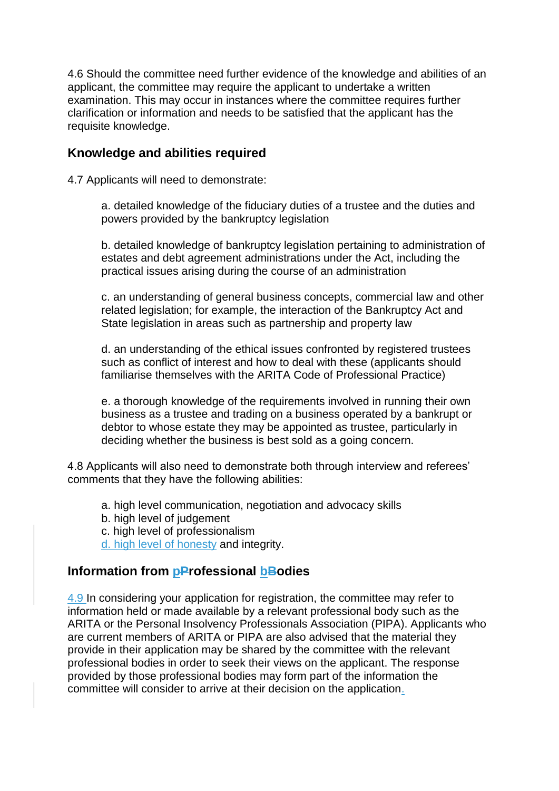4.6 Should the committee need further evidence of the knowledge and abilities of an applicant, the committee may require the applicant to undertake a written examination. This may occur in instances where the committee requires further clarification or information and needs to be satisfied that the applicant has the requisite knowledge.

#### **Knowledge and abilities required**

4.7 Applicants will need to demonstrate:

a. detailed knowledge of the fiduciary duties of a trustee and the duties and powers provided by the bankruptcy legislation

b. detailed knowledge of bankruptcy legislation pertaining to administration of estates and debt agreement administrations under the Act, including the practical issues arising during the course of an administration

c. an understanding of general business concepts, commercial law and other related legislation; for example, the interaction of the Bankruptcy Act and State legislation in areas such as partnership and property law

d. an understanding of the ethical issues confronted by registered trustees such as conflict of interest and how to deal with these (applicants should familiarise themselves with the ARITA Code of Professional Practice)

e. a thorough knowledge of the requirements involved in running their own business as a trustee and trading on a business operated by a bankrupt or debtor to whose estate they may be appointed as trustee, particularly in deciding whether the business is best sold as a going concern.

4.8 Applicants will also need to demonstrate both through interview and referees' comments that they have the following abilities:

- a. high level communication, negotiation and advocacy skills
- b. high level of judgement
- c. high level of professionalism

d. high level of honesty and integrity.

#### **Information from pProfessional bBodies**

4.9 In considering your application for registration, the committee may refer to information held or made available by a relevant professional body such as the ARITA or the Personal Insolvency Professionals Association (PIPA). Applicants who are current members of ARITA or PIPA are also advised that the material they provide in their application may be shared by the committee with the relevant professional bodies in order to seek their views on the applicant. The response provided by those professional bodies may form part of the information the committee will consider to arrive at their decision on the application.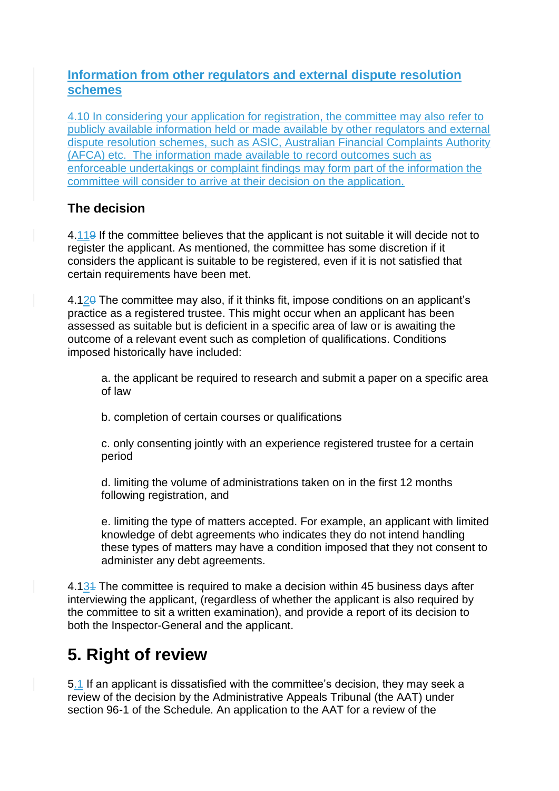#### **Information from other regulators and external dispute resolution schemes**

4.10 In considering your application for registration, the committee may also refer to publicly available information held or made available by other regulators and external dispute resolution schemes, such as ASIC, Australian Financial Complaints Authority (AFCA) etc. The information made available to record outcomes such as enforceable undertakings or complaint findings may form part of the information the committee will consider to arrive at their decision on the application.

### **The decision**

4.119 If the committee believes that the applicant is not suitable it will decide not to register the applicant. As mentioned, the committee has some discretion if it considers the applicant is suitable to be registered, even if it is not satisfied that certain requirements have been met.

4.120 The committee may also, if it thinks fit, impose conditions on an applicant's practice as a registered trustee. This might occur when an applicant has been assessed as suitable but is deficient in a specific area of law or is awaiting the outcome of a relevant event such as completion of qualifications. Conditions imposed historically have included:

a. the applicant be required to research and submit a paper on a specific area of law

b. completion of certain courses or qualifications

c. only consenting jointly with an experience registered trustee for a certain period

d. limiting the volume of administrations taken on in the first 12 months following registration, and

e. limiting the type of matters accepted. For example, an applicant with limited knowledge of debt agreements who indicates they do not intend handling these types of matters may have a condition imposed that they not consent to administer any debt agreements.

4.134 The committee is required to make a decision within 45 business days after interviewing the applicant, (regardless of whether the applicant is also required by the committee to sit a written examination), and provide a report of its decision to both the Inspector-General and the applicant.

# **5. Right of review**

5.1 If an applicant is dissatisfied with the committee's decision, they may seek a review of the decision by the Administrative Appeals Tribunal (the AAT) under section 96-1 of the Schedule. An application to the AAT for a review of the